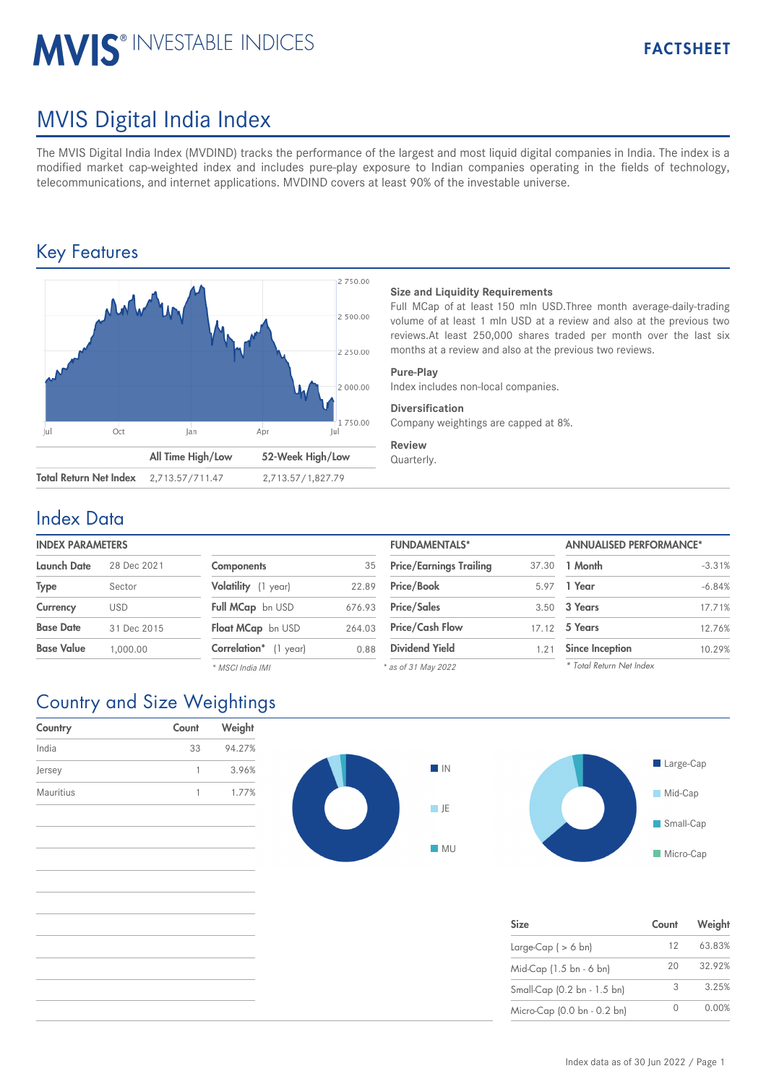# **MVIS® INVESTABLE INDICES**

# MVIS Digital India Index

The MVIS Digital India Index (MVDIND) tracks the performance of the largest and most liquid digital companies in India. The index is a modified market cap-weighted index and includes pure-play exposure to Indian companies operating in the fields of technology, telecommunications, and internet applications. MVDIND covers at least 90% of the investable universe.

## Key Features



#### **Size and Liquidity Requirements**

Full MCap of at least 150 mln USD.Three month average-daily-trading volume of at least 1 mln USD at a review and also at the previous two reviews.At least 250,000 shares traded per month over the last six months at a review and also at the previous two reviews.

#### **Pure-Play**

Index includes non-local companies.

#### **Diversification**

Company weightings are capped at 8%.

#### **Review**

Quarterly.

### Index Data

#### **INDEX PARAMETERS**

| Launch Date       | 28 Dec 2021 | <b>Components</b>     | 35     | <b>Price/Earnings Trailing</b> | 37.30 | 1 Month                |
|-------------------|-------------|-----------------------|--------|--------------------------------|-------|------------------------|
| <b>Type</b>       | Sector      | Volatility (1 year)   | 22.89  | Price/Book                     | 5.97  | 1 Year                 |
| Currency          | <b>USD</b>  | Full MCap bn USD      | 676.93 | <b>Price/Sales</b>             |       | 3.50 <b>3 Years</b>    |
| <b>Base Date</b>  | 31 Dec 2015 | Float MCap bn USD     | 264.03 | <b>Price/Cash Flow</b>         | 17.12 | 5 Years                |
| <b>Base Value</b> | 1.000.00    | Correlation* (1 year) | 0.88   | <b>Dividend Yield</b>          | 1.21  | <b>Since Inception</b> |
|                   |             | * MSCI India IMI      |        | * as of 31 May 2022            |       | * Total Return Net     |

| <b>FUNDAMENTALS*</b>           |       | <b>ANNUALISED PERFORMANCE*</b> |          |  |
|--------------------------------|-------|--------------------------------|----------|--|
| <b>Price/Earnings Trailing</b> | 37.30 | 1 Month                        | $-3.31%$ |  |
| Price/Book                     | 5.97  | 1 Year                         | $-6.84%$ |  |
| <b>Price/Sales</b>             | 3.50  | 3 Years                        | 17.71%   |  |
| <b>Price/Cash Flow</b>         | 17.12 | 5 Years                        | 12.76%   |  |
| <b>Dividend Yield</b>          | 1.21  | <b>Since Inception</b>         | 10.29%   |  |
|                                |       | * Total Return Net Index       |          |  |

*\* as of 31 May 2022*

# Country and Size Weightings

| Country   | Count | Weight |
|-----------|-------|--------|
| India     | 33    | 94.27% |
| Jersey    |       | 3.96%  |
| Mauritius |       | 1.77%  |







| <b>Size</b>                 | Count             | Weight |
|-----------------------------|-------------------|--------|
| Large-Cap $( > 6$ bn)       | $12 \overline{ }$ | 63.83% |
| Mid-Cap (1.5 bn - 6 bn)     | 20                | 32.92% |
| Small-Cap (0.2 bn - 1.5 bn) | 3                 | 3.25%  |
| Micro-Cap (0.0 bn - 0.2 bn) |                   | 0.00%  |